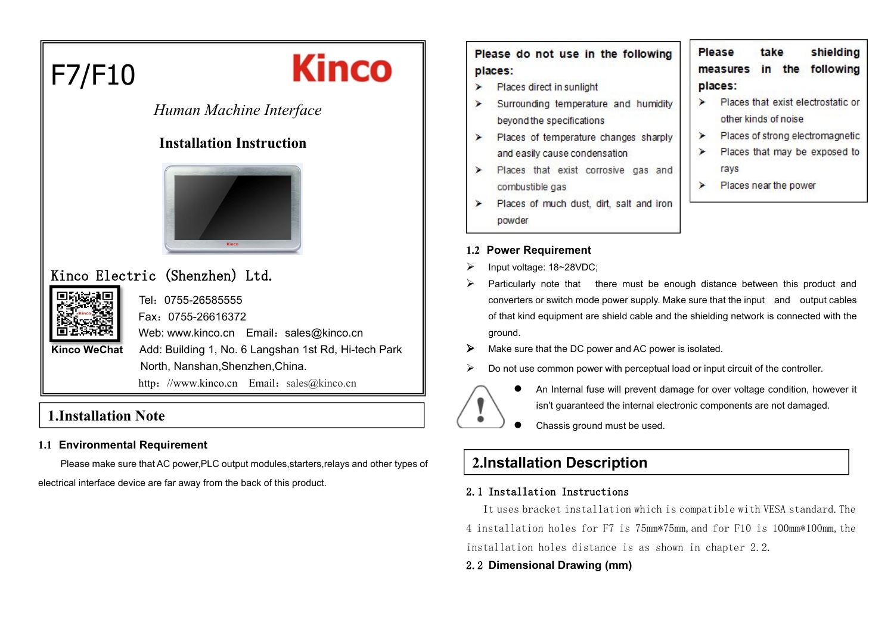

# *Human Machine Interface*

## **Installation Instruction**



# Kinco Electric (Shenzhen) Ltd.



Tel:0755-26585555 Fax:0755-26616372 Web: www.kinco.cn Email: [sales@kinco.cn](mailto:sales@kinco.cn) **Kinco WeChat** Add: Building 1, No. 6 Langshan 1st Rd, Hi-tech Park North, Nanshan,Shenzhen,China. http: //www.kinco.cn Email: [sales@kinco.cn](mailto:sales@kinco.cn)

## **1.Installation Note**

#### **1.1 Environmental Requirement**

Please make sure that AC power,PLC output modules,starters,relays and other types of electrical interface device are far away from the back of this product.

Please do not use in the following places:

- Places direct in sunlight
- Surrounding temperature and humidity beyond the specifications
- Places of temperature changes sharply ➤ and easily cause condensation
- > Places that exist corrosive gas and combustible gas
- Places of much dust, dirt, salt and iron ➤ powder

#### **1.2 Power Requirement**

- Input voltage: 18~28VDC;
- $\triangleright$  Particularly note that there must be enough distance between this product and converters or switch mode power supply. Make sure that the input and output cables of that kind equipment are shield cable and the shielding network is connected with the ground.
- $\triangleright$  Make sure that the DC power and AC power is isolated.
- $\triangleright$  Do not use common power with perceptual load or input circuit of the controller.



- An Internal fuse will prevent damage for over voltage condition, however it isn't guaranteed the internal electronic components are not damaged.
- Chassis ground must be used.

# **2.Installation Description**

#### 2.1 Installation Instructions

It uses bracket installation which is compatible with VESA standard.The 4 installation holes for F7 is 75mm\*75mm,and for F10 is 100mm\*100mm,the installation holes distance is as shown in chapter 2.2.

#### 2.2 **Dimensional Drawing (mm)**

- shielding Please take measures in the following places:
- $\blacktriangleright$ Places that exist electrostatic or other kinds of noise
- $\blacktriangleright$ Places of strong electromagnetic
- Places that may be exposed to ⋗ rays
- $\blacktriangleright$ Places near the power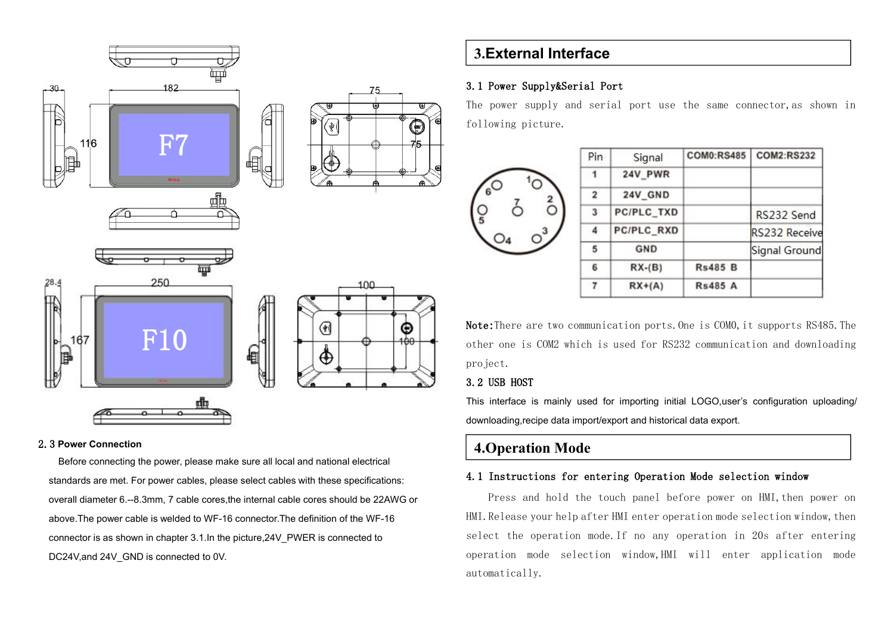

#### 2.3 **Power Connection**

Before connecting the power, please make sure all local and national electrical standards are met. For power cables, please select cables with these specifications: overall diameter 6.--8.3mm, 7 cable cores,the internal cable cores should be 22AWG or above.The power cable is welded to WF-16 connector.The definition of the WF-16 connector is as shown in chapter 3.1.In the picture,24V\_PWER is connected to DC24V,and 24V GND is connected to 0V.

## **3.External Interface**

#### 3.1 Power Supply&Serial Port

The power supply and serial port use the same connector,as shown in following picture.

|  | Pin            | Signal     | <b>COM0:RS485</b> | <b>COM2:RS232</b> |
|--|----------------|------------|-------------------|-------------------|
|  | 1              | 24V_PWR    |                   |                   |
|  | $\overline{a}$ | 24V_GND    |                   |                   |
|  | 3              | PC/PLC_TXD |                   | RS232 Send        |
|  | 4              | PC/PLC_RXD |                   | RS232 Receive     |
|  | 5              | GND        |                   | Signal Ground     |
|  | 6              | $RX-(B)$   | <b>Rs485 B</b>    |                   |
|  | 7              | $RX+(A)$   | <b>Rs485 A</b>    |                   |
|  |                |            |                   |                   |

Note: There are two communication ports, One is COMO, it supports RS485. The other one is COM2 which is used for RS232 communication and downloading project.

#### 3.2 USB HOST

This interface is mainly used for importing initial LOGO,user's configuration uploading/ downloading,recipe data import/export and historical data export.

## **4.Operation Mode**

### 4.1 Instructions for entering Operation Mode selection window

Press and hold the touch panel before power on HMI, then power on HMI. Release your help after HMI enter operation mode selection window, then select the operation mode.If no any operation in 20s after entering operation mode selection window,HMI will enter application mode automatically.